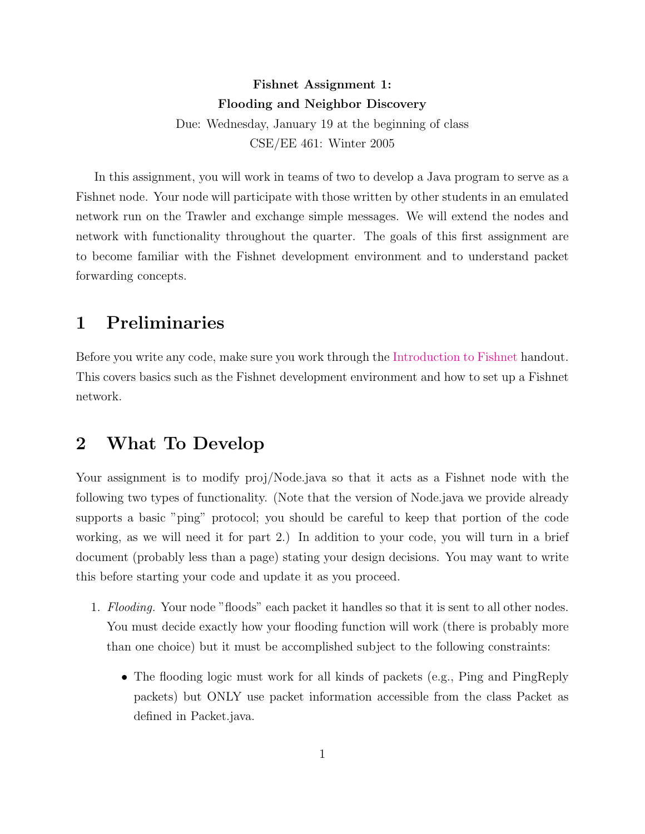## Fishnet Assignment 1: Flooding and Neighbor Discovery Due: Wednesday, January 19 at the beginning of class CSE/EE 461: Winter 2005

In this assignment, you will work in teams of two to develop a Java program to serve as a Fishnet node. Your node will participate with those written by other students in an emulated network run on the Trawler and exchange simple messages. We will extend the nodes and network with functionality throughout the quarter. The goals of this first assignment are to become familiar with the Fishnet development environment and to understand packet forwarding concepts.

# 1 Preliminaries

Before you write any code, make sure you work through the [Introduction to Fishnet](http://www.cs.washington.edu/education/courses/461/05wi/fishnet-intro.pdf) handout. This covers basics such as the Fishnet development environment and how to set up a Fishnet network.

#### 2 What To Develop

Your assignment is to modify proj/Node.java so that it acts as a Fishnet node with the following two types of functionality. (Note that the version of Node.java we provide already supports a basic "ping" protocol; you should be careful to keep that portion of the code working, as we will need it for part 2.) In addition to your code, you will turn in a brief document (probably less than a page) stating your design decisions. You may want to write this before starting your code and update it as you proceed.

- 1. Flooding. Your node "floods" each packet it handles so that it is sent to all other nodes. You must decide exactly how your flooding function will work (there is probably more than one choice) but it must be accomplished subject to the following constraints:
	- The flooding logic must work for all kinds of packets (e.g., Ping and PingReply packets) but ONLY use packet information accessible from the class Packet as defined in Packet.java.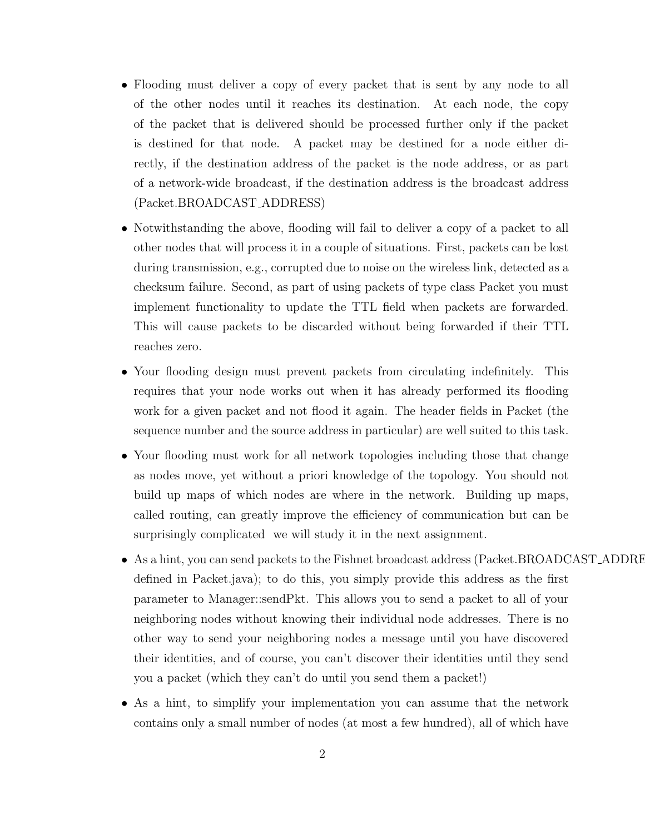- Flooding must deliver a copy of every packet that is sent by any node to all of the other nodes until it reaches its destination. At each node, the copy of the packet that is delivered should be processed further only if the packet is destined for that node. A packet may be destined for a node either directly, if the destination address of the packet is the node address, or as part of a network-wide broadcast, if the destination address is the broadcast address (Packet.BROADCAST ADDRESS)
- Notwithstanding the above, flooding will fail to deliver a copy of a packet to all other nodes that will process it in a couple of situations. First, packets can be lost during transmission, e.g., corrupted due to noise on the wireless link, detected as a checksum failure. Second, as part of using packets of type class Packet you must implement functionality to update the TTL field when packets are forwarded. This will cause packets to be discarded without being forwarded if their TTL reaches zero.
- Your flooding design must prevent packets from circulating indefinitely. This requires that your node works out when it has already performed its flooding work for a given packet and not flood it again. The header fields in Packet (the sequence number and the source address in particular) are well suited to this task.
- Your flooding must work for all network topologies including those that change as nodes move, yet without a priori knowledge of the topology. You should not build up maps of which nodes are where in the network. Building up maps, called routing, can greatly improve the efficiency of communication but can be surprisingly complicated we will study it in the next assignment.
- As a hint, you can send packets to the Fishnet broadcast address (Packet.BROADCAST\_ADDRE defined in Packet.java); to do this, you simply provide this address as the first parameter to Manager::sendPkt. This allows you to send a packet to all of your neighboring nodes without knowing their individual node addresses. There is no other way to send your neighboring nodes a message until you have discovered their identities, and of course, you can't discover their identities until they send you a packet (which they can't do until you send them a packet!)
- As a hint, to simplify your implementation you can assume that the network contains only a small number of nodes (at most a few hundred), all of which have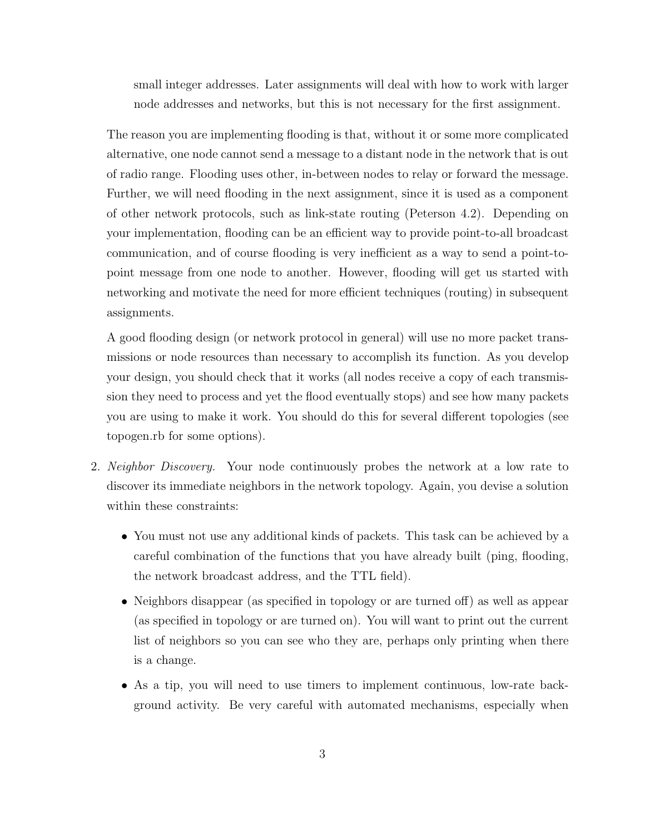small integer addresses. Later assignments will deal with how to work with larger node addresses and networks, but this is not necessary for the first assignment.

The reason you are implementing flooding is that, without it or some more complicated alternative, one node cannot send a message to a distant node in the network that is out of radio range. Flooding uses other, in-between nodes to relay or forward the message. Further, we will need flooding in the next assignment, since it is used as a component of other network protocols, such as link-state routing (Peterson 4.2). Depending on your implementation, flooding can be an efficient way to provide point-to-all broadcast communication, and of course flooding is very inefficient as a way to send a point-topoint message from one node to another. However, flooding will get us started with networking and motivate the need for more efficient techniques (routing) in subsequent assignments.

A good flooding design (or network protocol in general) will use no more packet transmissions or node resources than necessary to accomplish its function. As you develop your design, you should check that it works (all nodes receive a copy of each transmission they need to process and yet the flood eventually stops) and see how many packets you are using to make it work. You should do this for several different topologies (see topogen.rb for some options).

- 2. Neighbor Discovery. Your node continuously probes the network at a low rate to discover its immediate neighbors in the network topology. Again, you devise a solution within these constraints:
	- You must not use any additional kinds of packets. This task can be achieved by a careful combination of the functions that you have already built (ping, flooding, the network broadcast address, and the TTL field).
	- Neighbors disappear (as specified in topology or are turned off) as well as appear (as specified in topology or are turned on). You will want to print out the current list of neighbors so you can see who they are, perhaps only printing when there is a change.
	- As a tip, you will need to use timers to implement continuous, low-rate background activity. Be very careful with automated mechanisms, especially when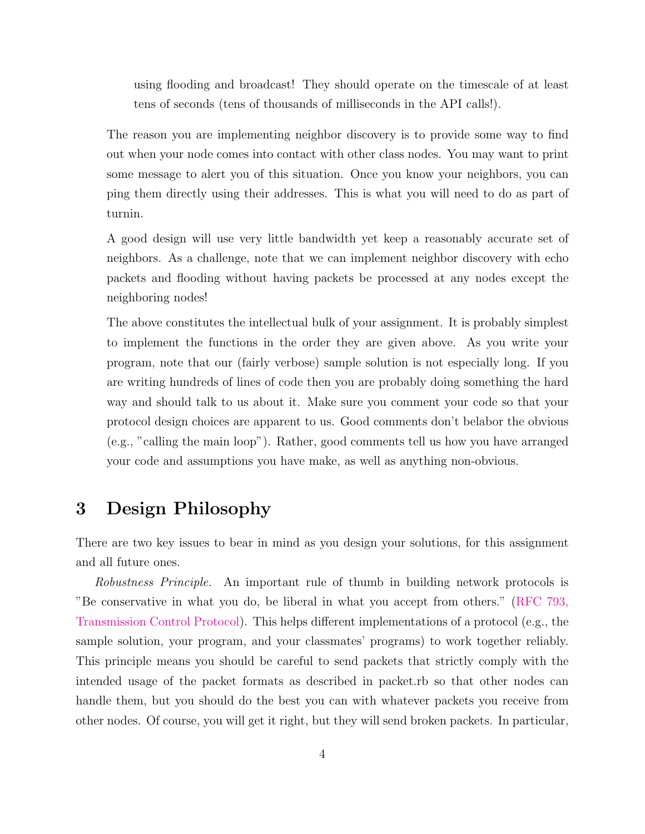using flooding and broadcast! They should operate on the timescale of at least tens of seconds (tens of thousands of milliseconds in the API calls!).

The reason you are implementing neighbor discovery is to provide some way to find out when your node comes into contact with other class nodes. You may want to print some message to alert you of this situation. Once you know your neighbors, you can ping them directly using their addresses. This is what you will need to do as part of turnin.

A good design will use very little bandwidth yet keep a reasonably accurate set of neighbors. As a challenge, note that we can implement neighbor discovery with echo packets and flooding without having packets be processed at any nodes except the neighboring nodes!

The above constitutes the intellectual bulk of your assignment. It is probably simplest to implement the functions in the order they are given above. As you write your program, note that our (fairly verbose) sample solution is not especially long. If you are writing hundreds of lines of code then you are probably doing something the hard way and should talk to us about it. Make sure you comment your code so that your protocol design choices are apparent to us. Good comments don't belabor the obvious (e.g., "calling the main loop"). Rather, good comments tell us how you have arranged your code and assumptions you have make, as well as anything non-obvious.

## 3 Design Philosophy

There are two key issues to bear in mind as you design your solutions, for this assignment and all future ones.

Robustness Principle. An important rule of thumb in building network protocols is "Be conservative in what you do, be liberal in what you accept from others." [\(RFC 793,](http://www.faqs.org/rfcs/rfc793.html) [Transmission Control Protocol\)](http://www.faqs.org/rfcs/rfc793.html). This helps different implementations of a protocol (e.g., the sample solution, your program, and your classmates' programs) to work together reliably. This principle means you should be careful to send packets that strictly comply with the intended usage of the packet formats as described in packet.rb so that other nodes can handle them, but you should do the best you can with whatever packets you receive from other nodes. Of course, you will get it right, but they will send broken packets. In particular,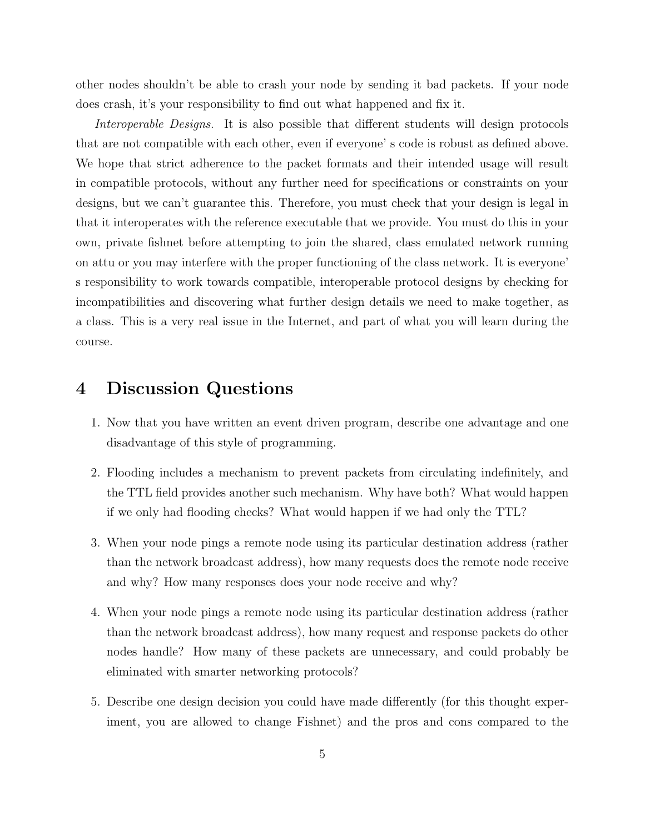other nodes shouldn't be able to crash your node by sending it bad packets. If your node does crash, it's your responsibility to find out what happened and fix it.

Interoperable Designs. It is also possible that different students will design protocols that are not compatible with each other, even if everyone' s code is robust as defined above. We hope that strict adherence to the packet formats and their intended usage will result in compatible protocols, without any further need for specifications or constraints on your designs, but we can't guarantee this. Therefore, you must check that your design is legal in that it interoperates with the reference executable that we provide. You must do this in your own, private fishnet before attempting to join the shared, class emulated network running on attu or you may interfere with the proper functioning of the class network. It is everyone' s responsibility to work towards compatible, interoperable protocol designs by checking for incompatibilities and discovering what further design details we need to make together, as a class. This is a very real issue in the Internet, and part of what you will learn during the course.

#### 4 Discussion Questions

- 1. Now that you have written an event driven program, describe one advantage and one disadvantage of this style of programming.
- 2. Flooding includes a mechanism to prevent packets from circulating indefinitely, and the TTL field provides another such mechanism. Why have both? What would happen if we only had flooding checks? What would happen if we had only the TTL?
- 3. When your node pings a remote node using its particular destination address (rather than the network broadcast address), how many requests does the remote node receive and why? How many responses does your node receive and why?
- 4. When your node pings a remote node using its particular destination address (rather than the network broadcast address), how many request and response packets do other nodes handle? How many of these packets are unnecessary, and could probably be eliminated with smarter networking protocols?
- 5. Describe one design decision you could have made differently (for this thought experiment, you are allowed to change Fishnet) and the pros and cons compared to the